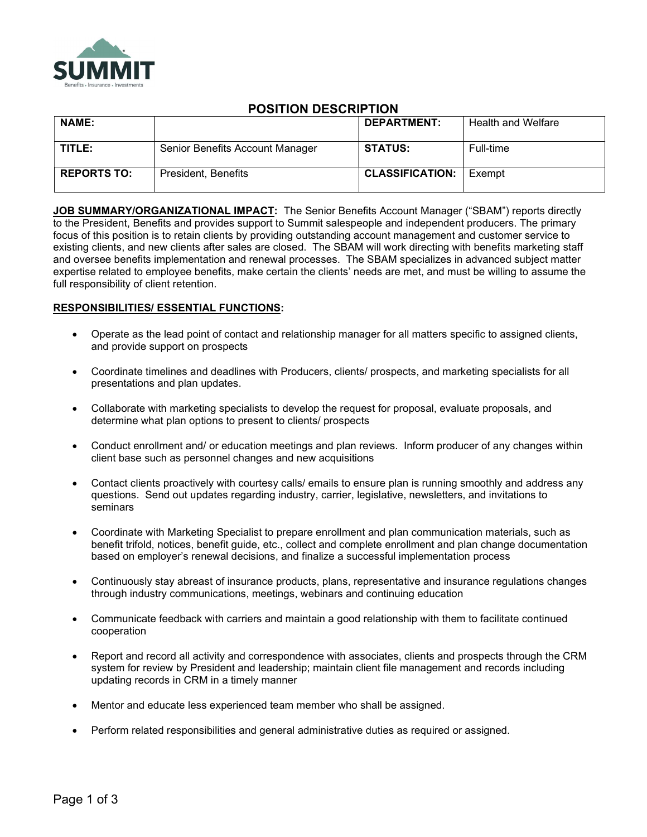

# POSITION DESCRIPTION

| <b>NAME:</b>       |                                 | <b>DEPARTMENT:</b>     | <b>Health and Welfare</b> |
|--------------------|---------------------------------|------------------------|---------------------------|
| TITLE:             | Senior Benefits Account Manager | <b>STATUS:</b>         | Full-time                 |
| <b>REPORTS TO:</b> | President, Benefits             | <b>CLASSIFICATION:</b> | Exempt                    |

JOB SUMMARY/ORGANIZATIONAL IMPACT: The Senior Benefits Account Manager ("SBAM") reports directly to the President, Benefits and provides support to Summit salespeople and independent producers. The primary focus of this position is to retain clients by providing outstanding account management and customer service to existing clients, and new clients after sales are closed. The SBAM will work directing with benefits marketing staff and oversee benefits implementation and renewal processes. The SBAM specializes in advanced subject matter expertise related to employee benefits, make certain the clients' needs are met, and must be willing to assume the full responsibility of client retention.

# RESPONSIBILITIES/ ESSENTIAL FUNCTIONS:

- Operate as the lead point of contact and relationship manager for all matters specific to assigned clients, and provide support on prospects
- Coordinate timelines and deadlines with Producers, clients/ prospects, and marketing specialists for all presentations and plan updates.
- Collaborate with marketing specialists to develop the request for proposal, evaluate proposals, and determine what plan options to present to clients/ prospects
- Conduct enrollment and/ or education meetings and plan reviews. Inform producer of any changes within client base such as personnel changes and new acquisitions
- Contact clients proactively with courtesy calls/ emails to ensure plan is running smoothly and address any questions. Send out updates regarding industry, carrier, legislative, newsletters, and invitations to seminars
- Coordinate with Marketing Specialist to prepare enrollment and plan communication materials, such as benefit trifold, notices, benefit guide, etc., collect and complete enrollment and plan change documentation based on employer's renewal decisions, and finalize a successful implementation process
- Continuously stay abreast of insurance products, plans, representative and insurance regulations changes through industry communications, meetings, webinars and continuing education
- Communicate feedback with carriers and maintain a good relationship with them to facilitate continued cooperation
- Report and record all activity and correspondence with associates, clients and prospects through the CRM system for review by President and leadership; maintain client file management and records including updating records in CRM in a timely manner
- Mentor and educate less experienced team member who shall be assigned.
- Perform related responsibilities and general administrative duties as required or assigned.